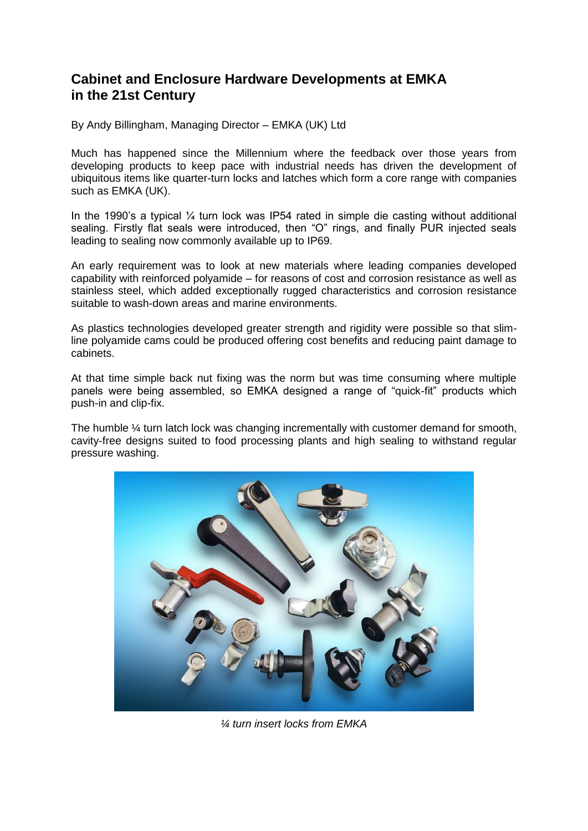## **Cabinet and Enclosure Hardware Developments at EMKA in the 21st Century**

By Andy Billingham, Managing Director – EMKA (UK) Ltd

Much has happened since the Millennium where the feedback over those years from developing products to keep pace with industrial needs has driven the development of ubiquitous items like quarter-turn locks and latches which form a core range with companies such as EMKA (UK).

In the 1990's a typical  $\frac{1}{4}$  turn lock was IP54 rated in simple die casting without additional sealing. Firstly flat seals were introduced, then "O" rings, and finally PUR injected seals leading to sealing now commonly available up to IP69.

An early requirement was to look at new materials where leading companies developed capability with reinforced polyamide – for reasons of cost and corrosion resistance as well as stainless steel, which added exceptionally rugged characteristics and corrosion resistance suitable to wash-down areas and marine environments.

As plastics technologies developed greater strength and rigidity were possible so that slimline polyamide cams could be produced offering cost benefits and reducing paint damage to cabinets.

At that time simple back nut fixing was the norm but was time consuming where multiple panels were being assembled, so EMKA designed a range of "quick-fit" products which push-in and clip-fix.

The humble ¼ turn latch lock was changing incrementally with customer demand for smooth, cavity-free designs suited to food processing plants and high sealing to withstand regular pressure washing.



*¼ turn insert locks from EMKA*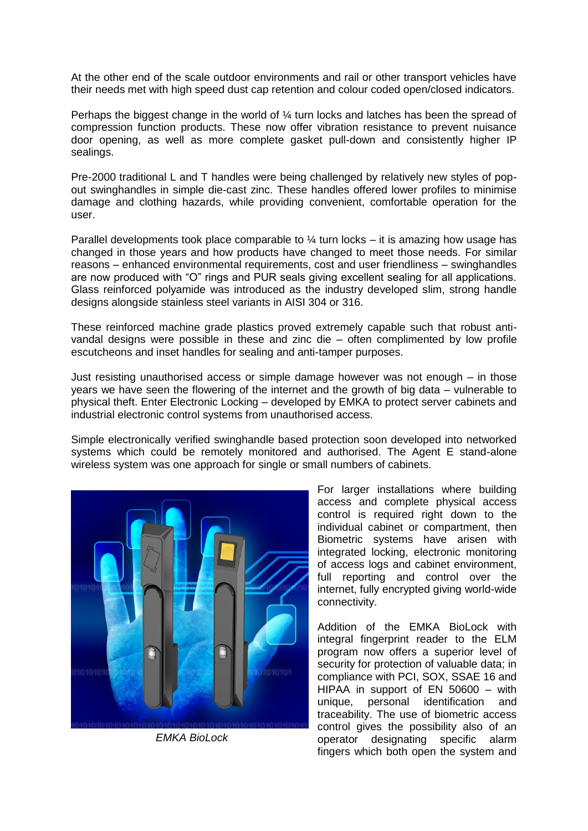At the other end of the scale outdoor environments and rail or other transport vehicles have their needs met with high speed dust cap retention and colour coded open/closed indicators.

Perhaps the biggest change in the world of ¼ turn locks and latches has been the spread of compression function products. These now offer vibration resistance to prevent nuisance door opening, as well as more complete gasket pull-down and consistently higher IP sealings.

Pre-2000 traditional L and T handles were being challenged by relatively new styles of popout swinghandles in simple die-cast zinc. These handles offered lower profiles to minimise damage and clothing hazards, while providing convenient, comfortable operation for the user.

Parallel developments took place comparable to  $\frac{1}{4}$  turn locks – it is amazing how usage has changed in those years and how products have changed to meet those needs. For similar reasons – enhanced environmental requirements, cost and user friendliness – swinghandles are now produced with "O" rings and PUR seals giving excellent sealing for all applications. Glass reinforced polyamide was introduced as the industry developed slim, strong handle designs alongside stainless steel variants in AISI 304 or 316.

These reinforced machine grade plastics proved extremely capable such that robust antivandal designs were possible in these and zinc die – often complimented by low profile escutcheons and inset handles for sealing and anti-tamper purposes.

Just resisting unauthorised access or simple damage however was not enough – in those years we have seen the flowering of the internet and the growth of big data – vulnerable to physical theft. Enter Electronic Locking – developed by EMKA to protect server cabinets and industrial electronic control systems from unauthorised access.

Simple electronically verified swinghandle based protection soon developed into networked systems which could be remotely monitored and authorised. The Agent E stand-alone wireless system was one approach for single or small numbers of cabinets.



 *EMKA BioLock*

For larger installations where building access and complete physical access control is required right down to the individual cabinet or compartment, then Biometric systems have arisen with integrated locking, electronic monitoring of access logs and cabinet environment, full reporting and control over the internet, fully encrypted giving world-wide connectivity.

Addition of the EMKA BioLock with integral fingerprint reader to the ELM program now offers a superior level of security for protection of valuable data; in compliance with PCI, SOX, SSAE 16 and HIPAA in support of EN 50600 – with unique, personal identification and traceability. The use of biometric access control gives the possibility also of an operator designating specific alarm fingers which both open the system and